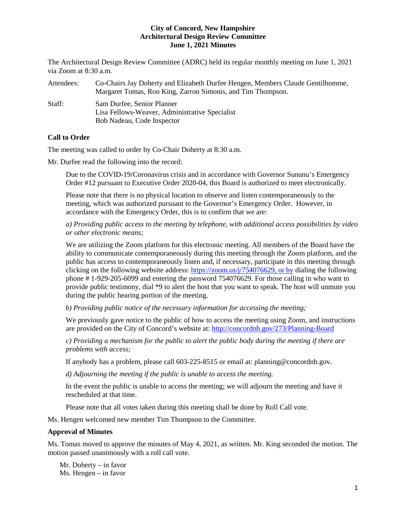The Architectural Design Review Committee (ADRC) held its regular monthly meeting on June 1, 2021 via Zoom at 8:30 a.m.

| Attendees: | Co-Chairs Jay Doherty and Elizabeth Durfee Hengen, Members Claude Gentilhomme,<br>Margaret Tomas, Ron King, Zarron Simonis, and Tim Thompson. |
|------------|-----------------------------------------------------------------------------------------------------------------------------------------------|
| Staff:     | Sam Durfee, Senior Planner<br>Lisa Fellows-Weaver, Administrative Specialist                                                                  |
|            | Bob Nadeau, Code Inspector                                                                                                                    |

# **Call to Order**

The meeting was called to order by Co-Chair Doherty at 8:30 a.m.

Mr. Durfee read the following into the record:

Due to the COVID-19/Coronavirus crisis and in accordance with Governor Sununu's Emergency Order #12 pursuant to Executive Order 2020-04, this Board is authorized to meet electronically.

Please note that there is no physical location to observe and listen contemporaneously to the meeting, which was authorized pursuant to the Governor's Emergency Order. However, in accordance with the Emergency Order, this is to confirm that we are:

*a) Providing public access to the meeting by telephone, with additional access possibilities by video or other electronic means;* 

We are utilizing the Zoom platform for this electronic meeting. All members of the Board have the ability to communicate contemporaneously during this meeting through the Zoom platform, and the public has access to contemporaneously listen and, if necessary, participate in this meeting through clicking on the following website address: [https://zoom.us/j/754076629,](https://zoom.us/j/754076629) or by dialing the following phone # 1-929-205-6099 and entering the password 754076629. For those calling in who want to provide public testimony, dial \*9 to alert the host that you want to speak. The host will unmute you during the public hearing portion of the meeting.

*b) Providing public notice of the necessary information for accessing the meeting;*

We previously gave notice to the public of how to access the meeting using Zoom, and instructions are provided on the City of Concord's website at: <http://concordnh.gov/273/Planning-Board>

*c) Providing a mechanism for the public to alert the public body during the meeting if there are problems with access;* 

If anybody has a problem, please call 603-225-8515 or email at: planning@concordnh.gov.

*d) Adjourning the meeting if the public is unable to access the meeting.*

In the event the public is unable to access the meeting; we will adjourn the meeting and have it rescheduled at that time.

Please note that all votes taken during this meeting shall be done by Roll Call vote.

Ms. Hengen welcomed new member Tim Thompson to the Committee.

#### **Approval of Minutes**

Ms. Tomas moved to approve the minutes of May 4, 2021, as written. Mr. King seconded the motion. The motion passed unanimously with a roll call vote.

Mr. Doherty – in favor Ms. Hengen – in favor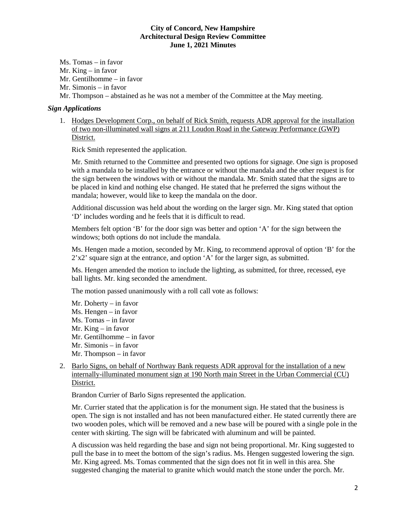Ms. Tomas – in favor

Mr. King – in favor

Mr. Gentilhomme – in favor

Mr. Simonis – in favor

Mr. Thompson – abstained as he was not a member of the Committee at the May meeting.

# *Sign Applications*

1. Hodges Development Corp., on behalf of Rick Smith, requests ADR approval for the installation of two non-illuminated wall signs at 211 Loudon Road in the Gateway Performance (GWP) District.

Rick Smith represented the application.

Mr. Smith returned to the Committee and presented two options for signage. One sign is proposed with a mandala to be installed by the entrance or without the mandala and the other request is for the sign between the windows with or without the mandala. Mr. Smith stated that the signs are to be placed in kind and nothing else changed. He stated that he preferred the signs without the mandala; however, would like to keep the mandala on the door.

Additional discussion was held about the wording on the larger sign. Mr. King stated that option 'D' includes wording and he feels that it is difficult to read.

Members felt option 'B' for the door sign was better and option 'A' for the sign between the windows; both options do not include the mandala.

Ms. Hengen made a motion, seconded by Mr. King, to recommend approval of option 'B' for the 2'x2' square sign at the entrance, and option 'A' for the larger sign, as submitted.

Ms. Hengen amended the motion to include the lighting, as submitted, for three, recessed, eye ball lights. Mr. king seconded the amendment.

The motion passed unanimously with a roll call vote as follows:

- Mr. Doherty in favor Ms. Hengen – in favor Ms. Tomas – in favor Mr. King – in favor Mr. Gentilhomme – in favor Mr. Simonis – in favor Mr. Thompson – in favor
- 2. Barlo Signs, on behalf of Northway Bank requests ADR approval for the installation of a new internally-illuminated monument sign at 190 North main Street in the Urban Commercial (CU) District.

Brandon Currier of Barlo Signs represented the application.

Mr. Currier stated that the application is for the monument sign. He stated that the business is open. The sign is not installed and has not been manufactured either. He stated currently there are two wooden poles, which will be removed and a new base will be poured with a single pole in the center with skirting. The sign will be fabricated with aluminum and will be painted.

A discussion was held regarding the base and sign not being proportional. Mr. King suggested to pull the base in to meet the bottom of the sign's radius. Ms. Hengen suggested lowering the sign. Mr. King agreed. Ms. Tomas commented that the sign does not fit in well in this area. She suggested changing the material to granite which would match the stone under the porch. Mr.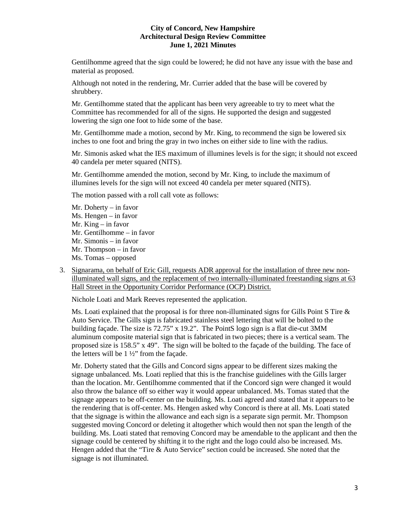Gentilhomme agreed that the sign could be lowered; he did not have any issue with the base and material as proposed.

Although not noted in the rendering, Mr. Currier added that the base will be covered by shrubbery.

Mr. Gentilhomme stated that the applicant has been very agreeable to try to meet what the Committee has recommended for all of the signs. He supported the design and suggested lowering the sign one foot to hide some of the base.

Mr. Gentilhomme made a motion, second by Mr. King, to recommend the sign be lowered six inches to one foot and bring the gray in two inches on either side to line with the radius.

Mr. Simonis asked what the IES maximum of illumines levels is for the sign; it should not exceed 40 candela per meter squared (NITS).

Mr. Gentilhomme amended the motion, second by Mr. King, to include the maximum of illumines levels for the sign will not exceed 40 candela per meter squared (NITS).

The motion passed with a roll call vote as follows:

- Mr. Doherty in favor Ms. Hengen – in favor Mr. King – in favor Mr. Gentilhomme – in favor Mr. Simonis – in favor Mr. Thompson – in favor Ms. Tomas – opposed
- 3. Signarama, on behalf of Eric Gill, requests ADR approval for the installation of three new nonilluminated wall signs, and the replacement of two internally-illuminated freestanding signs at 63 Hall Street in the Opportunity Corridor Performance (OCP) District.

Nichole Loati and Mark Reeves represented the application.

Ms. Loati explained that the proposal is for three non-illuminated signs for Gills Point S Tire  $\&$ Auto Service. The Gills sign is fabricated stainless steel lettering that will be bolted to the building façade. The size is 72.75" x 19.2". The PointS logo sign is a flat die-cut 3MM aluminum composite material sign that is fabricated in two pieces; there is a vertical seam. The proposed size is 158.5" x 49". The sign will be bolted to the façade of the building. The face of the letters will be 1 ½" from the façade.

Mr. Doherty stated that the Gills and Concord signs appear to be different sizes making the signage unbalanced. Ms. Loati replied that this is the franchise guidelines with the Gills larger than the location. Mr. Gentilhomme commented that if the Concord sign were changed it would also throw the balance off so either way it would appear unbalanced. Ms. Tomas stated that the signage appears to be off-center on the building. Ms. Loati agreed and stated that it appears to be the rendering that is off-center. Ms. Hengen asked why Concord is there at all. Ms. Loati stated that the signage is within the allowance and each sign is a separate sign permit. Mr. Thompson suggested moving Concord or deleting it altogether which would then not span the length of the building. Ms. Loati stated that removing Concord may be amendable to the applicant and then the signage could be centered by shifting it to the right and the logo could also be increased. Ms. Hengen added that the "Tire & Auto Service" section could be increased. She noted that the signage is not illuminated.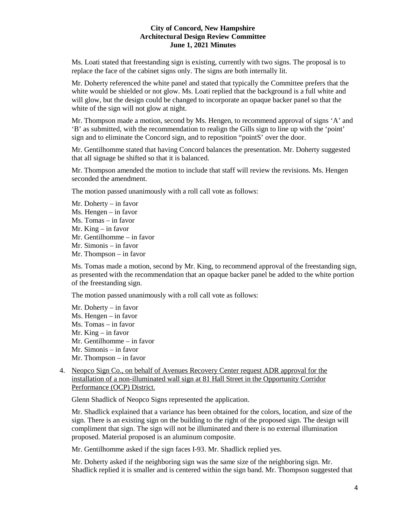Ms. Loati stated that freestanding sign is existing, currently with two signs. The proposal is to replace the face of the cabinet signs only. The signs are both internally lit.

Mr. Doherty referenced the white panel and stated that typically the Committee prefers that the white would be shielded or not glow. Ms. Loati replied that the background is a full white and will glow, but the design could be changed to incorporate an opaque backer panel so that the white of the sign will not glow at night.

Mr. Thompson made a motion, second by Ms. Hengen, to recommend approval of signs 'A' and 'B' as submitted, with the recommendation to realign the Gills sign to line up with the 'point' sign and to eliminate the Concord sign, and to reposition "pointS' over the door.

Mr. Gentilhomme stated that having Concord balances the presentation. Mr. Doherty suggested that all signage be shifted so that it is balanced.

Mr. Thompson amended the motion to include that staff will review the revisions. Ms. Hengen seconded the amendment.

The motion passed unanimously with a roll call vote as follows:

Mr. Doherty – in favor Ms. Hengen – in favor Ms. Tomas – in favor Mr. King – in favor Mr. Gentilhomme – in favor Mr. Simonis – in favor Mr. Thompson – in favor

Ms. Tomas made a motion, second by Mr. King, to recommend approval of the freestanding sign, as presented with the recommendation that an opaque backer panel be added to the white portion of the freestanding sign.

The motion passed unanimously with a roll call vote as follows:

- Mr. Doherty in favor Ms. Hengen – in favor Ms. Tomas – in favor Mr. King – in favor Mr. Gentilhomme – in favor Mr. Simonis – in favor Mr. Thompson – in favor
- 4. Neopco Sign Co., on behalf of Avenues Recovery Center request ADR approval for the installation of a non-illuminated wall sign at 81 Hall Street in the Opportunity Corridor Performance (OCP) District.

Glenn Shadlick of Neopco Signs represented the application.

Mr. Shadlick explained that a variance has been obtained for the colors, location, and size of the sign. There is an existing sign on the building to the right of the proposed sign. The design will compliment that sign. The sign will not be illuminated and there is no external illumination proposed. Material proposed is an aluminum composite.

Mr. Gentilhomme asked if the sign faces I-93. Mr. Shadlick replied yes.

Mr. Doherty asked if the neighboring sign was the same size of the neighboring sign. Mr. Shadlick replied it is smaller and is centered within the sign band. Mr. Thompson suggested that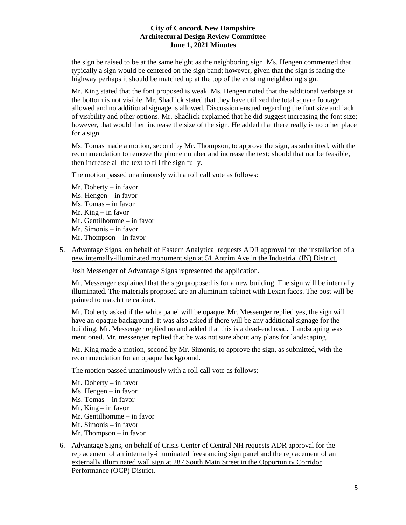the sign be raised to be at the same height as the neighboring sign. Ms. Hengen commented that typically a sign would be centered on the sign band; however, given that the sign is facing the highway perhaps it should be matched up at the top of the existing neighboring sign.

Mr. King stated that the font proposed is weak. Ms. Hengen noted that the additional verbiage at the bottom is not visible. Mr. Shadlick stated that they have utilized the total square footage allowed and no additional signage is allowed. Discussion ensued regarding the font size and lack of visibility and other options. Mr. Shadlick explained that he did suggest increasing the font size; however, that would then increase the size of the sign. He added that there really is no other place for a sign.

Ms. Tomas made a motion, second by Mr. Thompson, to approve the sign, as submitted, with the recommendation to remove the phone number and increase the text; should that not be feasible, then increase all the text to fill the sign fully.

The motion passed unanimously with a roll call vote as follows:

- Mr. Doherty in favor Ms. Hengen – in favor Ms. Tomas – in favor Mr. King – in favor Mr. Gentilhomme – in favor Mr. Simonis – in favor Mr. Thompson – in favor
- 5. Advantage Signs, on behalf of Eastern Analytical requests ADR approval for the installation of a new internally-illuminated monument sign at 51 Antrim Ave in the Industrial (IN) District.

Josh Messenger of Advantage Signs represented the application.

Mr. Messenger explained that the sign proposed is for a new building. The sign will be internally illuminated. The materials proposed are an aluminum cabinet with Lexan faces. The post will be painted to match the cabinet.

Mr. Doherty asked if the white panel will be opaque. Mr. Messenger replied yes, the sign will have an opaque background. It was also asked if there will be any additional signage for the building. Mr. Messenger replied no and added that this is a dead-end road. Landscaping was mentioned. Mr. messenger replied that he was not sure about any plans for landscaping.

Mr. King made a motion, second by Mr. Simonis, to approve the sign, as submitted, with the recommendation for an opaque background.

The motion passed unanimously with a roll call vote as follows:

- Mr. Doherty in favor Ms. Hengen – in favor Ms. Tomas – in favor Mr. King – in favor Mr. Gentilhomme – in favor Mr. Simonis – in favor Mr. Thompson – in favor
- 6. Advantage Signs, on behalf of Crisis Center of Central NH requests ADR approval for the replacement of an internally-illuminated freestanding sign panel and the replacement of an externally illuminated wall sign at 287 South Main Street in the Opportunity Corridor Performance (OCP) District.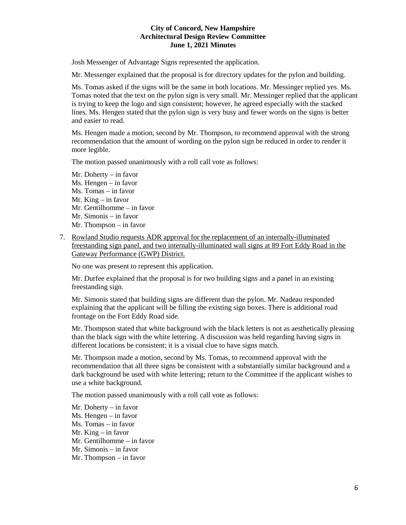Josh Messenger of Advantage Signs represented the application.

Mr. Messenger explained that the proposal is for directory updates for the pylon and building.

Ms. Tomas asked if the signs will be the same in both locations. Mr. Messinger replied yes. Ms. Tomas noted that the text on the pylon sign is very small. Mr. Messinger replied that the applicant is trying to keep the logo and sign consistent; however, he agreed especially with the stacked lines. Ms. Hengen stated that the pylon sign is very busy and fewer words on the signs is better and easier to read.

Ms. Hengen made a motion, second by Mr. Thompson, to recommend approval with the strong recommendation that the amount of wording on the pylon sign be reduced in order to render it more legible.

The motion passed unanimously with a roll call vote as follows:

- Mr. Doherty in favor Ms. Hengen – in favor Ms. Tomas – in favor Mr. King – in favor Mr. Gentilhomme – in favor Mr. Simonis – in favor Mr. Thompson – in favor
- 7. Rowland Studio requests ADR approval for the replacement of an internally-illuminated freestanding sign panel, and two internally-illuminated wall signs at 89 Fort Eddy Road in the Gateway Performance (GWP) District.

No one was present to represent this application.

Mr. Durfee explained that the proposal is for two building signs and a panel in an existing freestanding sign.

Mr. Simonis stated that building signs are different than the pylon. Mr. Nadeau responded explaining that the applicant will be filling the existing sign boxes. There is additional road frontage on the Fort Eddy Road side.

Mr. Thompson stated that white background with the black letters is not as aesthetically pleasing than the black sign with the white lettering. A discussion was held regarding having signs in different locations be consistent; it is a visual clue to have signs match.

Mr. Thompson made a motion, second by Ms. Tomas, to recommend approval with the recommendation that all three signs be consistent with a substantially similar background and a dark background be used with white lettering; return to the Committee if the applicant wishes to use a white background.

The motion passed unanimously with a roll call vote as follows:

Mr. Doherty – in favor Ms. Hengen – in favor Ms. Tomas – in favor Mr. King – in favor Mr. Gentilhomme – in favor Mr. Simonis – in favor Mr. Thompson – in favor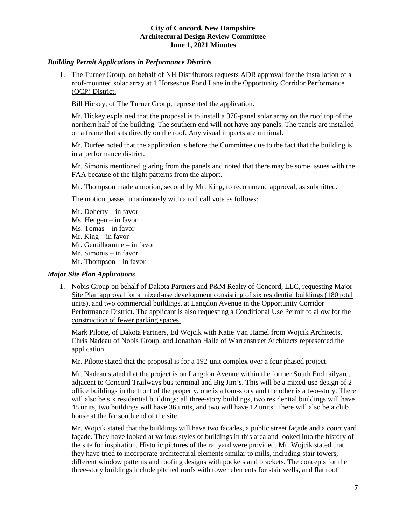# *Building Permit Applications in Performance Districts*

1. The Turner Group, on behalf of NH Distributors requests ADR approval for the installation of a roof-mounted solar array at 1 Horseshoe Pond Lane in the Opportunity Corridor Performance (OCP) District.

Bill Hickey, of The Turner Group, represented the application.

Mr. Hickey explained that the proposal is to install a 376-panel solar array on the roof top of the northern half of the building. The southern end will not have any panels. The panels are installed on a frame that sits directly on the roof. Any visual impacts are minimal.

Mr. Durfee noted that the application is before the Committee due to the fact that the building is in a performance district.

Mr. Simonis mentioned glaring from the panels and noted that there may be some issues with the FAA because of the flight patterns from the airport.

Mr. Thompson made a motion, second by Mr. King, to recommend approval, as submitted.

The motion passed unanimously with a roll call vote as follows:

Mr. Doherty – in favor Ms. Hengen – in favor Ms. Tomas – in favor Mr. King – in favor Mr. Gentilhomme – in favor Mr. Simonis – in favor Mr. Thompson – in favor

# *Major Site Plan Applications*

1. Nobis Group on behalf of Dakota Partners and P&M Realty of Concord, LLC, requesting Major Site Plan approval for a mixed-use development consisting of six residential buildings (180 total units), and two commercial buildings, at Langdon Avenue in the Opportunity Corridor Performance District. The applicant is also requesting a Conditional Use Permit to allow for the construction of fewer parking spaces.

Mark Pilotte, of Dakota Partners, Ed Wojcik with Katie Van Hamel from Wojcik Architects, Chris Nadeau of Nobis Group, and Jonathan Halle of Warrenstreet Architects represented the application.

Mr. Pilotte stated that the proposal is for a 192-unit complex over a four phased project.

Mr. Nadeau stated that the project is on Langdon Avenue within the former South End railyard, adjacent to Concord Trailways bus terminal and Big Jim's. This will be a mixed-use design of 2 office buildings in the front of the property, one is a four-story and the other is a two-story. There will also be six residential buildings; all three-story buildings, two residential buildings will have 48 units, two buildings will have 36 units, and two will have 12 units. There will also be a club house at the far south end of the site.

Mr. Wojcik stated that the buildings will have two facades, a public street façade and a court yard façade. They have looked at various styles of buildings in this area and looked into the history of the site for inspiration. Historic pictures of the railyard were provided. Mr. Wojcik stated that they have tried to incorporate architectural elements similar to mills, including stair towers, different window patterns and roofing designs with pockets and brackets. The concepts for the three-story buildings include pitched roofs with tower elements for stair wells, and flat roof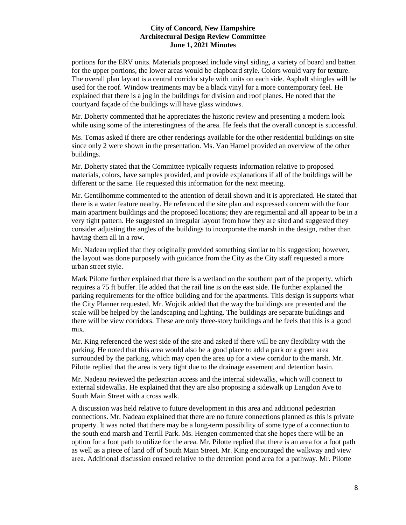portions for the ERV units. Materials proposed include vinyl siding, a variety of board and batten for the upper portions, the lower areas would be clapboard style. Colors would vary for texture. The overall plan layout is a central corridor style with units on each side. Asphalt shingles will be used for the roof. Window treatments may be a black vinyl for a more contemporary feel. He explained that there is a jog in the buildings for division and roof planes. He noted that the courtyard façade of the buildings will have glass windows.

Mr. Doherty commented that he appreciates the historic review and presenting a modern look while using some of the interestingness of the area. He feels that the overall concept is successful.

Ms. Tomas asked if there are other renderings available for the other residential buildings on site since only 2 were shown in the presentation. Ms. Van Hamel provided an overview of the other buildings.

Mr. Doherty stated that the Committee typically requests information relative to proposed materials, colors, have samples provided, and provide explanations if all of the buildings will be different or the same. He requested this information for the next meeting.

Mr. Gentilhomme commented to the attention of detail shown and it is appreciated. He stated that there is a water feature nearby. He referenced the site plan and expressed concern with the four main apartment buildings and the proposed locations; they are regimental and all appear to be in a very tight pattern. He suggested an irregular layout from how they are sited and suggested they consider adjusting the angles of the buildings to incorporate the marsh in the design, rather than having them all in a row.

Mr. Nadeau replied that they originally provided something similar to his suggestion; however, the layout was done purposely with guidance from the City as the City staff requested a more urban street style.

Mark Pilotte further explained that there is a wetland on the southern part of the property, which requires a 75 ft buffer. He added that the rail line is on the east side. He further explained the parking requirements for the office building and for the apartments. This design is supports what the City Planner requested. Mr. Wojcik added that the way the buildings are presented and the scale will be helped by the landscaping and lighting. The buildings are separate buildings and there will be view corridors. These are only three-story buildings and he feels that this is a good mix.

Mr. King referenced the west side of the site and asked if there will be any flexibility with the parking. He noted that this area would also be a good place to add a park or a green area surrounded by the parking, which may open the area up for a view corridor to the marsh. Mr. Pilotte replied that the area is very tight due to the drainage easement and detention basin.

Mr. Nadeau reviewed the pedestrian access and the internal sidewalks, which will connect to external sidewalks. He explained that they are also proposing a sidewalk up Langdon Ave to South Main Street with a cross walk.

A discussion was held relative to future development in this area and additional pedestrian connections. Mr. Nadeau explained that there are no future connections planned as this is private property. It was noted that there may be a long-term possibility of some type of a connection to the south end marsh and Terrill Park. Ms. Hengen commented that she hopes there will be an option for a foot path to utilize for the area. Mr. Pilotte replied that there is an area for a foot path as well as a piece of land off of South Main Street. Mr. King encouraged the walkway and view area. Additional discussion ensued relative to the detention pond area for a pathway. Mr. Pilotte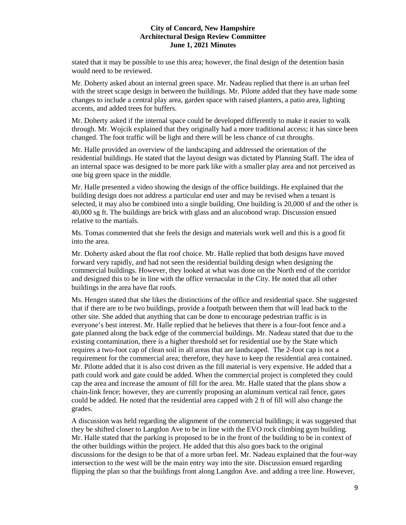stated that it may be possible to use this area; however, the final design of the detention basin would need to be reviewed.

Mr. Doherty asked about an internal green space. Mr. Nadeau replied that there is an urban feel with the street scape design in between the buildings. Mr. Pilotte added that they have made some changes to include a central play area, garden space with raised planters, a patio area, lighting accents, and added trees for buffers.

Mr. Doherty asked if the internal space could be developed differently to make it easier to walk through. Mr. Wojcik explained that they originally had a more traditional access; it has since been changed. The foot traffic will be light and there will be less chance of cut throughs.

Mr. Halle provided an overview of the landscaping and addressed the orientation of the residential buildings. He stated that the layout design was dictated by Planning Staff. The idea of an internal space was designed to be more park like with a smaller play area and not perceived as one big green space in the middle.

Mr. Halle presented a video showing the design of the office buildings. He explained that the building design does not address a particular end user and may be revised when a tenant is selected, it may also be combined into a single building. One building is 20,000 sf and the other is 40,000 sg ft. The buildings are brick with glass and an alucobond wrap. Discussion ensued relative to the martials.

Ms. Tomas commented that she feels the design and materials work well and this is a good fit into the area.

Mr. Doherty asked about the flat roof choice. Mr. Halle replied that both designs have moved forward very rapidly, and had not seen the residential building design when designing the commercial buildings. However, they looked at what was done on the North end of the corridor and designed this to be in line with the office vernacular in the City. He noted that all other buildings in the area have flat roofs.

Ms. Hengen stated that she likes the distinctions of the office and residential space. She suggested that if there are to be two buildings, provide a footpath between them that will lead back to the other site. She added that anything that can be done to encourage pedestrian traffic is in everyone's best interest. Mr. Halle replied that he believes that there is a four-foot fence and a gate planned along the back edge of the commercial buildings. Mr. Nadeau stated that due to the existing contamination, there is a higher threshold set for residential use by the State which requires a two-foot cap of clean soil in all areas that are landscaped. The 2-foot cap is not a requirement for the commercial area; therefore, they have to keep the residential area contained. Mr. Pilotte added that it is also cost driven as the fill material is very expensive. He added that a path could work and gate could be added. When the commercial project is completed they could cap the area and increase the amount of fill for the area. Mr. Halle stated that the plans show a chain-link fence; however, they are currently proposing an aluminum vertical rail fence, gates could be added. He noted that the residential area capped with 2 ft of fill will also change the grades.

A discussion was held regarding the alignment of the commercial buildings; it was suggested that they be shifted closer to Langdon Ave to be in line with the EVO rock climbing gym building. Mr. Halle stated that the parking is proposed to be in the front of the building to be in context of the other buildings within the project. He added that this also goes back to the original discussions for the design to be that of a more urban feel. Mr. Nadeau explained that the four-way intersection to the west will be the main entry way into the site. Discussion ensued regarding flipping the plan so that the buildings front along Langdon Ave. and adding a tree line. However,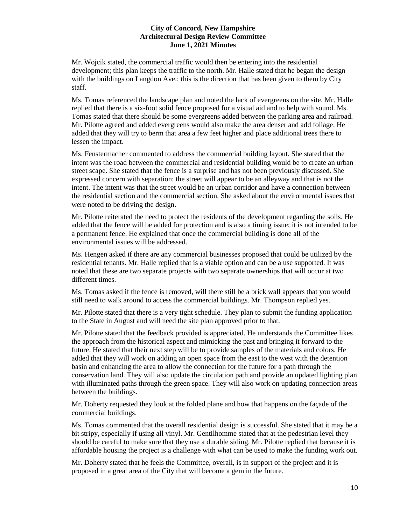Mr. Wojcik stated, the commercial traffic would then be entering into the residential development; this plan keeps the traffic to the north. Mr. Halle stated that he began the design with the buildings on Langdon Ave.; this is the direction that has been given to them by City staff.

Ms. Tomas referenced the landscape plan and noted the lack of evergreens on the site. Mr. Halle replied that there is a six-foot solid fence proposed for a visual aid and to help with sound. Ms. Tomas stated that there should be some evergreens added between the parking area and railroad. Mr. Pilotte agreed and added evergreens would also make the area denser and add foliage. He added that they will try to berm that area a few feet higher and place additional trees there to lessen the impact.

Ms. Fenstermacher commented to address the commercial building layout. She stated that the intent was the road between the commercial and residential building would be to create an urban street scape. She stated that the fence is a surprise and has not been previously discussed. She expressed concern with separation; the street will appear to be an alleyway and that is not the intent. The intent was that the street would be an urban corridor and have a connection between the residential section and the commercial section. She asked about the environmental issues that were noted to be driving the design.

Mr. Pilotte reiterated the need to protect the residents of the development regarding the soils. He added that the fence will be added for protection and is also a timing issue; it is not intended to be a permanent fence. He explained that once the commercial building is done all of the environmental issues will be addressed.

Ms. Hengen asked if there are any commercial businesses proposed that could be utilized by the residential tenants. Mr. Halle replied that is a viable option and can be a use supported. It was noted that these are two separate projects with two separate ownerships that will occur at two different times.

Ms. Tomas asked if the fence is removed, will there still be a brick wall appears that you would still need to walk around to access the commercial buildings. Mr. Thompson replied yes.

Mr. Pilotte stated that there is a very tight schedule. They plan to submit the funding application to the State in August and will need the site plan approved prior to that.

Mr. Pilotte stated that the feedback provided is appreciated. He understands the Committee likes the approach from the historical aspect and mimicking the past and bringing it forward to the future. He stated that their next step will be to provide samples of the materials and colors. He added that they will work on adding an open space from the east to the west with the detention basin and enhancing the area to allow the connection for the future for a path through the conservation land. They will also update the circulation path and provide an updated lighting plan with illuminated paths through the green space. They will also work on updating connection areas between the buildings.

Mr. Doherty requested they look at the folded plane and how that happens on the façade of the commercial buildings.

Ms. Tomas commented that the overall residential design is successful. She stated that it may be a bit stripy, especially if using all vinyl. Mr. Gentilhomme stated that at the pedestrian level they should be careful to make sure that they use a durable siding. Mr. Pilotte replied that because it is affordable housing the project is a challenge with what can be used to make the funding work out.

Mr. Doherty stated that he feels the Committee, overall, is in support of the project and it is proposed in a great area of the City that will become a gem in the future.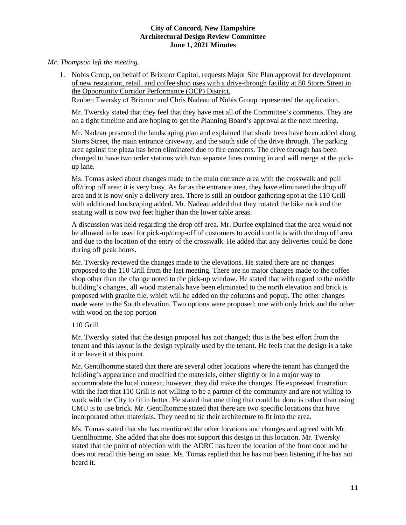# *Mr. Thompson left the meeting.*

1. Nobis Group, on behalf of Brixmor Capitol, requests Major Site Plan approval for development of new restaurant, retail, and coffee shop uses with a drive-through facility at 80 Storrs Street in the Opportunity Corridor Performance (OCP) District.

Reuben Twersky of Brixmor and Chris Nadeau of Nobis Group represented the application.

Mr. Twersky stated that they feel that they have met all of the Committee's comments. They are on a tight timeline and are hoping to get the Planning Board's approval at the next meeting.

Mr. Nadeau presented the landscaping plan and explained that shade trees have been added along Storrs Street, the main entrance driveway, and the south side of the drive through. The parking area against the plaza has been eliminated due to fire concerns. The drive through has been changed to have two order stations with two separate lines coming in and will merge at the pickup lane.

Ms. Tomas asked about changes made to the main entrance area with the crosswalk and pull off/drop off area; it is very busy. As far as the entrance area, they have eliminated the drop off area and it is now only a delivery area. There is still an outdoor gathering spot at the 110 Grill with additional landscaping added. Mr. Nadeau added that they rotated the bike rack and the seating wall is now two feet higher than the lower table areas.

A discussion was held regarding the drop off area. Mr. Durfee explained that the area would not be allowed to be used for pick-up/drop-off of customers to avoid conflicts with the drop off area and due to the location of the entry of the crosswalk. He added that any deliveries could be done during off peak hours.

Mr. Twersky reviewed the changes made to the elevations. He stated there are no changes proposed to the 110 Grill from the last meeting. There are no major changes made to the coffee shop other than the change noted to the pick-up window. He stated that with regard to the middle building's changes, all wood materials have been eliminated to the north elevation and brick is proposed with granite tile, which will be added on the columns and popup. The other changes made were to the South elevation. Two options were proposed; one with only brick and the other with wood on the top portion

# 110 Grill

Mr. Twersky stated that the design proposal has not changed; this is the best effort from the tenant and this layout is the design typically used by the tenant. He feels that the design is a take it or leave it at this point.

Mr. Gentilhomme stated that there are several other locations where the tenant has changed the building's appearance and modified the materials, either slightly or in a major way to accommodate the local context; however, they did make the changes. He expressed frustration with the fact that 110 Grill is not willing to be a partner of the community and are not willing to work with the City to fit in better. He stated that one thing that could be done is rather than using CMU is to use brick. Mr. Gentilhomme stated that there are two specific locations that have incorporated other materials. They need to tie their architecture to fit into the area.

Ms. Tomas stated that she has mentioned the other locations and changes and agreed with Mr. Gentilhomme. She added that she does not support this design in this location. Mr. Twersky stated that the point of objection with the ADRC has been the location of the front door and he does not recall this being an issue. Ms. Tomas replied that he has not been listening if he has not heard it.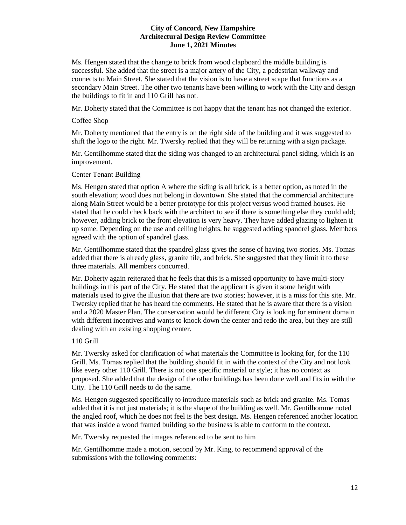Ms. Hengen stated that the change to brick from wood clapboard the middle building is successful. She added that the street is a major artery of the City, a pedestrian walkway and connects to Main Street. She stated that the vision is to have a street scape that functions as a secondary Main Street. The other two tenants have been willing to work with the City and design the buildings to fit in and 110 Grill has not.

Mr. Doherty stated that the Committee is not happy that the tenant has not changed the exterior.

Coffee Shop

Mr. Doherty mentioned that the entry is on the right side of the building and it was suggested to shift the logo to the right. Mr. Twersky replied that they will be returning with a sign package.

Mr. Gentilhomme stated that the siding was changed to an architectural panel siding, which is an improvement.

# Center Tenant Building

Ms. Hengen stated that option A where the siding is all brick, is a better option, as noted in the south elevation; wood does not belong in downtown. She stated that the commercial architecture along Main Street would be a better prototype for this project versus wood framed houses. He stated that he could check back with the architect to see if there is something else they could add; however, adding brick to the front elevation is very heavy. They have added glazing to lighten it up some. Depending on the use and ceiling heights, he suggested adding spandrel glass. Members agreed with the option of spandrel glass.

Mr. Gentilhomme stated that the spandrel glass gives the sense of having two stories. Ms. Tomas added that there is already glass, granite tile, and brick. She suggested that they limit it to these three materials. All members concurred.

Mr. Doherty again reiterated that he feels that this is a missed opportunity to have multi-story buildings in this part of the City. He stated that the applicant is given it some height with materials used to give the illusion that there are two stories; however, it is a miss for this site. Mr. Twersky replied that he has heard the comments. He stated that he is aware that there is a vision and a 2020 Master Plan. The conservation would be different City is looking for eminent domain with different incentives and wants to knock down the center and redo the area, but they are still dealing with an existing shopping center.

# 110 Grill

Mr. Twersky asked for clarification of what materials the Committee is looking for, for the 110 Grill. Ms. Tomas replied that the building should fit in with the context of the City and not look like every other 110 Grill. There is not one specific material or style; it has no context as proposed. She added that the design of the other buildings has been done well and fits in with the City. The 110 Grill needs to do the same.

Ms. Hengen suggested specifically to introduce materials such as brick and granite. Ms. Tomas added that it is not just materials; it is the shape of the building as well. Mr. Gentilhomme noted the angled roof, which he does not feel is the best design. Ms. Hengen referenced another location that was inside a wood framed building so the business is able to conform to the context.

Mr. Twersky requested the images referenced to be sent to him

Mr. Gentilhomme made a motion, second by Mr. King, to recommend approval of the submissions with the following comments: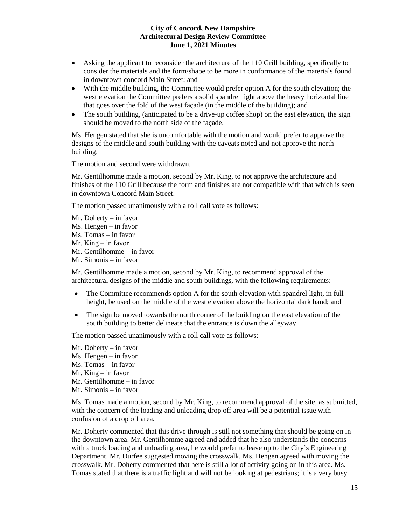- Asking the applicant to reconsider the architecture of the 110 Grill building, specifically to consider the materials and the form/shape to be more in conformance of the materials found in downtown concord Main Street; and
- With the middle building, the Committee would prefer option A for the south elevation; the west elevation the Committee prefers a solid spandrel light above the heavy horizontal line that goes over the fold of the west façade (in the middle of the building); and
- The south building, (anticipated to be a drive-up coffee shop) on the east elevation, the sign should be moved to the north side of the façade.

Ms. Hengen stated that she is uncomfortable with the motion and would prefer to approve the designs of the middle and south building with the caveats noted and not approve the north building.

The motion and second were withdrawn.

Mr. Gentilhomme made a motion, second by Mr. King, to not approve the architecture and finishes of the 110 Grill because the form and finishes are not compatible with that which is seen in downtown Concord Main Street.

The motion passed unanimously with a roll call vote as follows:

Mr. Doherty – in favor Ms. Hengen – in favor Ms. Tomas – in favor Mr. King – in favor Mr. Gentilhomme – in favor Mr. Simonis – in favor

Mr. Gentilhomme made a motion, second by Mr. King, to recommend approval of the architectural designs of the middle and south buildings, with the following requirements:

- The Committee recommends option A for the south elevation with spandrel light, in full height, be used on the middle of the west elevation above the horizontal dark band; and
- The sign be moved towards the north corner of the building on the east elevation of the south building to better delineate that the entrance is down the alleyway.

The motion passed unanimously with a roll call vote as follows:

Mr. Doherty – in favor Ms. Hengen – in favor Ms. Tomas – in favor Mr. King – in favor Mr. Gentilhomme – in favor Mr. Simonis – in favor

Ms. Tomas made a motion, second by Mr. King, to recommend approval of the site, as submitted, with the concern of the loading and unloading drop off area will be a potential issue with confusion of a drop off area.

Mr. Doherty commented that this drive through is still not something that should be going on in the downtown area. Mr. Gentilhomme agreed and added that he also understands the concerns with a truck loading and unloading area, he would prefer to leave up to the City's Engineering Department. Mr. Durfee suggested moving the crosswalk. Ms. Hengen agreed with moving the crosswalk. Mr. Doherty commented that here is still a lot of activity going on in this area. Ms. Tomas stated that there is a traffic light and will not be looking at pedestrians; it is a very busy